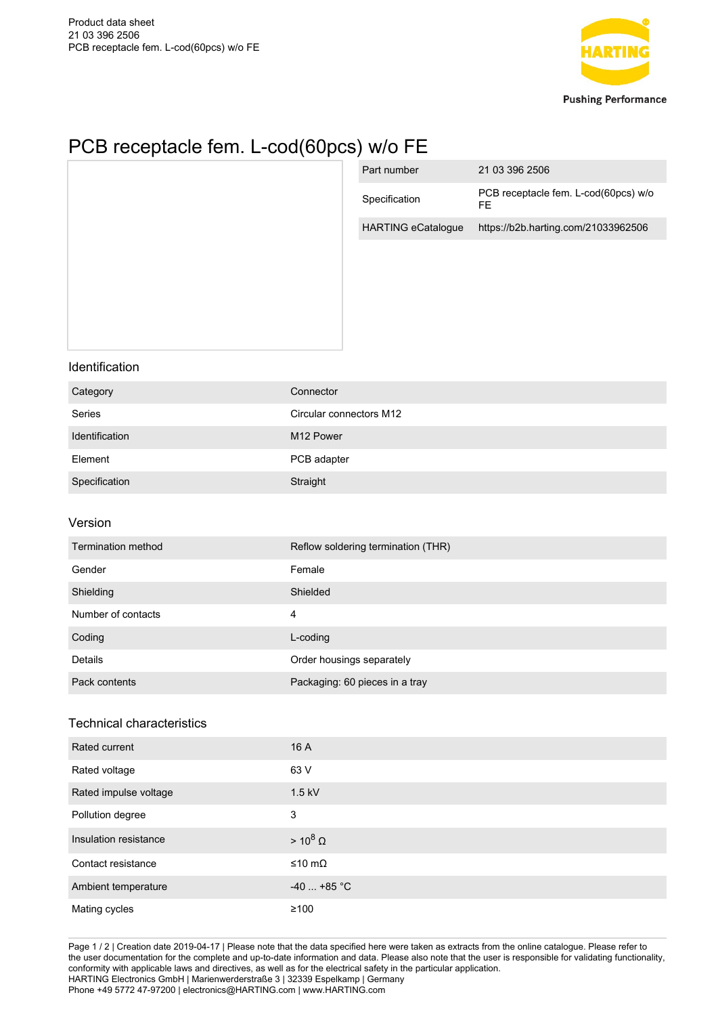

## PCB receptacle fem. L-cod(60pcs) w/o FE

|                                  |                         | Part number                        | 21 03 396 2506                             |
|----------------------------------|-------------------------|------------------------------------|--------------------------------------------|
|                                  |                         | Specification                      | PCB receptacle fem. L-cod(60pcs) w/o<br>FE |
|                                  |                         | <b>HARTING eCatalogue</b>          | https://b2b.harting.com/21033962506        |
|                                  |                         |                                    |                                            |
| Identification                   |                         |                                    |                                            |
| Category                         | Connector               |                                    |                                            |
| Series                           | Circular connectors M12 |                                    |                                            |
| Identification                   | M12 Power               |                                    |                                            |
| Element                          | PCB adapter             |                                    |                                            |
| Specification                    | Straight                |                                    |                                            |
| Version                          |                         |                                    |                                            |
| Termination method               |                         | Reflow soldering termination (THR) |                                            |
| Gender                           | Female                  |                                    |                                            |
| Shielding                        | Shielded                |                                    |                                            |
| Number of contacts               | $\overline{4}$          |                                    |                                            |
| Coding                           | L-coding                |                                    |                                            |
| Details                          |                         | Order housings separately          |                                            |
| Pack contents                    |                         | Packaging: 60 pieces in a tray     |                                            |
| <b>Technical characteristics</b> |                         |                                    |                                            |
| Rated current                    | 16 A                    |                                    |                                            |
| Rated voltage                    | 63 V                    |                                    |                                            |
| Rated impulse voltage            | $1.5$ kV                |                                    |                                            |
| Pollution degree                 | $\mathsf 3$             |                                    |                                            |
| Insulation resistance            | $> 10^8$ $\Omega$       |                                    |                                            |
| Contact resistance               | ≤10 mΩ                  |                                    |                                            |
| Ambient temperature              | $-40+85$ °C             |                                    |                                            |

Page 1 / 2 | Creation date 2019-04-17 | Please note that the data specified here were taken as extracts from the online catalogue. Please refer to the user documentation for the complete and up-to-date information and data. Please also note that the user is responsible for validating functionality, conformity with applicable laws and directives, as well as for the electrical safety in the particular application. HARTING Electronics GmbH | Marienwerderstraße 3 | 32339 Espelkamp | Germany Phone +49 5772 47-97200 | electronics@HARTING.com | www.HARTING.com

Mating cycles ≥100